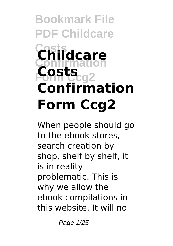# **Bookmark File PDF Childcare Costs Childcare Confirmation Form Ccg2 Costs Confirmation Form Ccg2**

When people should go to the ebook stores, search creation by shop, shelf by shelf, it is in reality problematic. This is why we allow the ebook compilations in this website. It will no

Page 1/25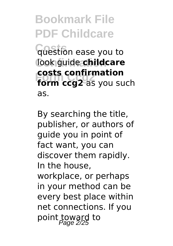**Costs** question ease you to look guide **childcare Form ccg2** as you such **costs confirmation** as.

By searching the title, publisher, or authors of guide you in point of fact want, you can discover them rapidly. In the house, workplace, or perhaps in your method can be every best place within net connections. If you point toward to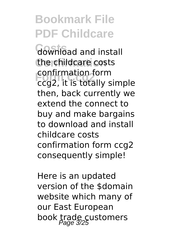**Costs** download and install the childcare costs **Form Ccg2** ccg2, it is totally simple confirmation form then, back currently we extend the connect to buy and make bargains to download and install childcare costs confirmation form ccg2 consequently simple!

Here is an updated version of the \$domain website which many of our East European book trade customers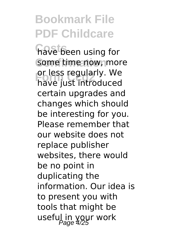**Costs** have been using for some time now, more or less regularly. we<br>have just introduced or less regularly. We certain upgrades and changes which should be interesting for you. Please remember that our website does not replace publisher websites, there would be no point in duplicating the information. Our idea is to present you with tools that might be useful in your work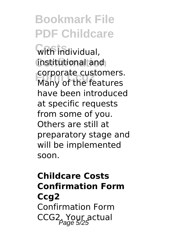**Costs** with individual, **Confirmation** institutional and **Form Ccg2** Many of the features corporate customers. have been introduced at specific requests from some of you. Others are still at preparatory stage and will be implemented soon.

#### **Childcare Costs Confirmation Form Ccg2** Confirmation Form CCG2. Your actual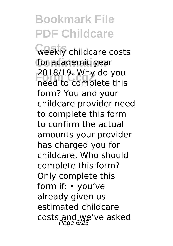**Costs** weekly childcare costs for academic year zu18/19. why do you<br>need to complete this 2018/19. Why do you form? You and your childcare provider need to complete this form to confirm the actual amounts your provider has charged you for childcare. Who should complete this form? Only complete this form if: • you've already given us estimated childcare costs and we've asked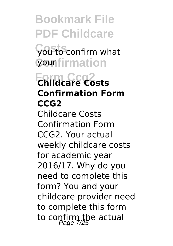**Costs** you to confirm what **Confirmation** your

#### **Form Ccg2 Childcare Costs Confirmation Form CCG2**

Childcare Costs Confirmation Form CCG2. Your actual weekly childcare costs for academic year 2016/17. Why do you need to complete this form? You and your childcare provider need to complete this form to confirm the actual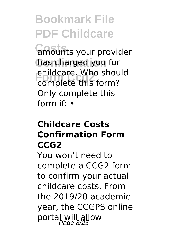**Costs** amounts your provider **Confirmation** has charged you for **Form Ccg2** complete this form? childcare. Who should Only complete this form if: •

#### **Childcare Costs Confirmation Form CCG2**

You won't need to complete a CCG2 form to confirm your actual childcare costs. From the 2019/20 academic year, the CCGPS online portal will allow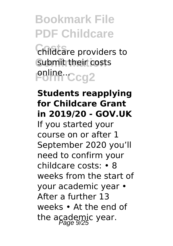**Costs** childcare providers to submit their costs **Poline...Ccg2** 

#### **Students reapplying for Childcare Grant in 2019/20 - GOV.UK** If you started your course on or after 1 September 2020 you'll need to confirm your childcare costs: • 8 weeks from the start of your academic year • After a further 13 weeks • At the end of the academic year.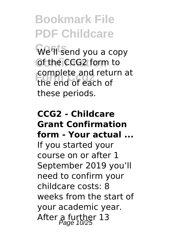We'll send you a copy **Confirmation** of the CCG2 form to **Form Ccg2** the end of each of complete and return at these periods.

#### **CCG2 - Childcare Grant Confirmation form - Your actual ...** If you started your course on or after 1 September 2019 you'll need to confirm your childcare costs: 8 weeks from the start of your academic year. After a further  $13$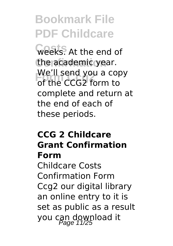**Costs** weeks. At the end of the academic year. **Form CCG2** form to We'll send you a copy complete and return at the end of each of these periods.

#### **CCG 2 Childcare Grant Confirmation Form**

Childcare Costs Confirmation Form Ccg2 our digital library an online entry to it is set as public as a result you can download it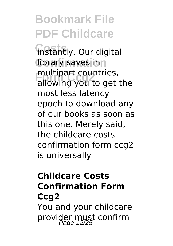**instantly.** Our digital **library saves inn Fouries**<br>**Example 2011** to get allowing you to get the most less latency epoch to download any of our books as soon as this one. Merely said, the childcare costs confirmation form ccg2 is universally

#### **Childcare Costs Confirmation Form Ccg2**

You and your childcare provider must confirm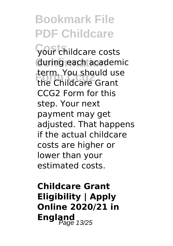**Costs** your childcare costs during each academic **Example 16 Should us**<br>the Childcare Grant term. You should use CCG2 Form for this step. Your next payment may get adiusted. That happens if the actual childcare costs are higher or lower than your estimated costs.

**Childcare Grant Eligibility | Apply Online 2020/21 in England** 13/25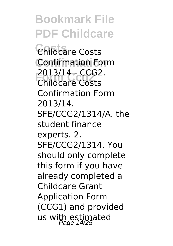**Bookmark File PDF Childcare Costs** Childcare Costs **Confirmation** Confirmation Form **Form Ccg2** Childcare Costs 2013/14 - CCG2. Confirmation Form 2013/14. SFE/CCG2/1314/A. the student finance experts. 2. SFE/CCG2/1314. You should only complete this form if you have already completed a Childcare Grant Application Form (CCG1) and provided us with estimated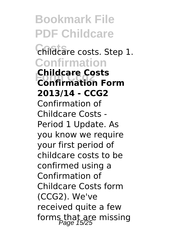**Bookmark File PDF Childcare Costs** childcare costs. Step 1. **Confirmation Form Ccg2 Confirmation Form Childcare Costs 2013/14 - CCG2** Confirmation of Childcare Costs - Period 1 Update. As you know we require your first period of childcare costs to be confirmed using a Confirmation of Childcare Costs form (CCG2). We've received quite a few forms that are missing<br> $P_{\text{age}}$  15/25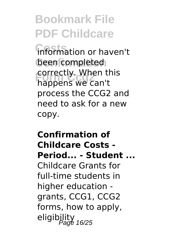**information or haven't** been completed **Form Ccg2** happens we can't correctly. When this process the CCG2 and need to ask for a new copy.

#### **Confirmation of Childcare Costs - Period... - Student ...** Childcare Grants for full-time students in higher education grants, CCG1, CCG2 forms, how to apply, eligibility<br>
Page 16/25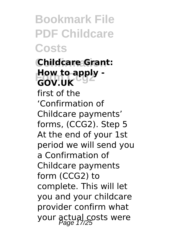**Confirmation Childcare Grant: How to apply -**<br>COV LIK **GOV.UK**

first of the 'Confirmation of Childcare payments' forms, (CCG2). Step 5 At the end of your 1st period we will send you a Confirmation of Childcare payments form (CCG2) to complete. This will let you and your childcare provider confirm what your actual costs were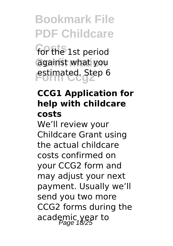**For the 1st period Confirmation** against what you **Form Ccg2** estimated. Step 6

#### **CCG1 Application for help with childcare costs**

We'll review your Childcare Grant using the actual childcare costs confirmed on your CCG2 form and may adjust your next payment. Usually we'll send you two more CCG2 forms during the academic year to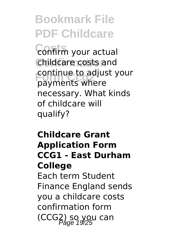**Costs** confirm your actual **Confirmation** childcare costs and **Form Ccg2** payments where continue to adjust your necessary. What kinds of childcare will qualify?

#### **Childcare Grant Application Form CCG1 - East Durham College**

Each term Student Finance England sends you a childcare costs confirmation form (CCG2) so you can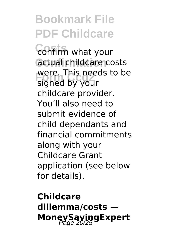**Costs** confirm what your actual childcare costs **Form Control**<br> **Signed by your** were. This needs to be childcare provider. You'll also need to submit evidence of child dependants and financial commitments along with your Childcare Grant application (see below for details).

**Childcare dillemma/costs — MoneySavingExpert**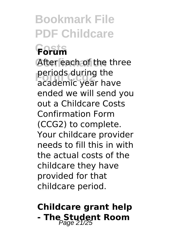#### **Costs Forum** After each of the three perious during the<br>academic year have periods during the ended we will send you out a Childcare Costs Confirmation Form (CCG2) to complete. Your childcare provider needs to fill this in with the actual costs of the childcare they have provided for that childcare period.

#### **Childcare grant help - The Student Room**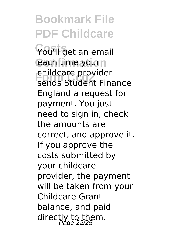**Costs** You'll get an email each time yourn **Form Ccg2** sends Student Finance childcare provider England a request for payment. You just need to sign in, check the amounts are correct, and approve it. If you approve the costs submitted by your childcare provider, the payment will be taken from your Childcare Grant balance, and paid directly to them.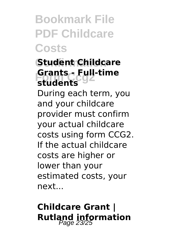#### **Confirmation Student Childcare Form Ccg2 students Grants - Full-time**

During each term, you and your childcare provider must confirm your actual childcare costs using form CCG2. If the actual childcare costs are higher or lower than your estimated costs, your next...

#### **Childcare Grant | Rutland information**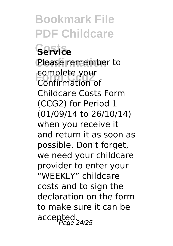**Costs Service** Please remember to complete your<br>Confirmation o Confirmation of Childcare Costs Form (CCG2) for Period 1 (01/09/14 to 26/10/14) when you receive it and return it as soon as possible. Don't forget, we need your childcare provider to enter your "WEEKLY" childcare costs and to sign the declaration on the form to make sure it can be accepted.<br>accepted.